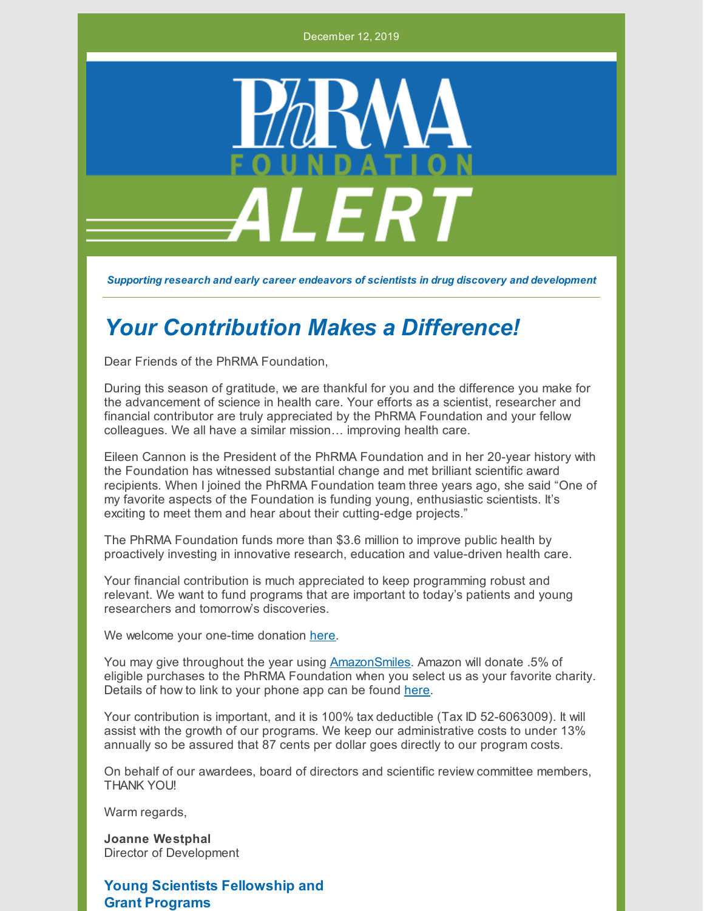December 12, 2019



*Supporting research and early career endeavors of scientists in drug discovery and development*

# *Your Contribution Makes a Difference!*

Dear Friends of the PhRMA Foundation,

During this season of gratitude, we are thankful for you and the difference you make for the advancement of science in health care. Your efforts as a scientist, researcher and financial contributor are truly appreciated by the PhRMA Foundation and your fellow colleagues. We all have a similar mission… improving health care.

Eileen Cannon is the President of the PhRMA Foundation and in her 20-year history with the Foundation has witnessed substantial change and met brilliant scientific award recipients. When I joined the PhRMA Foundation team three years ago, she said "One of my favorite aspects of the Foundation is funding young, enthusiastic scientists. It's exciting to meet them and hear about their cutting-edge projects."

The PhRMA Foundation funds more than \$3.6 million to improve public health by proactively investing in innovative research, education and value-driven health care.

Your financial contribution is much appreciated to keep programming robust and relevant. We want to fund programs that are important to today's patients and young researchers and tomorrow's discoveries.

We welcome your one-time donation [here](http://www.phrmafoundation.org/make-a-contribution/).

You may give throughout the year using **[AmazonSmiles](https://smile.amazon.com/ap/signin?_encoding=UTF8&openid.assoc_handle=amzn_smile&openid.claimed_id=http%3A%2F%2Fspecs.openid.net%2Fauth%2F2.0%2Fidentifier_select&openid.identity=http%3A%2F%2Fspecs.openid.net%2Fauth%2F2.0%2Fidentifier_select&openid.mode=checkid_setup&openid.ns=http%3A%2F%2Fspecs.openid.net%2Fauth%2F2.0&openid.ns.pape=http%3A%2F%2Fspecs.openid.net%2Fextensions%2Fpape%2F1.0&openid.pape.max_auth_age=0&openid.return_to=https%3A%2F%2Fsmile.amazon.com%2Fgp%2Fcharity%2Fhomepage.html%3Fie%3DUTF8%26newts%3D1%26orig%3DLw%253D%253D)**. Amazon will donate .5% of eligible purchases to the PhRMA Foundation when you select us as your favorite charity. Details of how to link to your phone app can be found [here](http://www.phrmafoundation.org/wp-content/uploads/2019/11/AmazonSmileDirectionsforApp-1.pdf).

Your contribution is important, and it is 100% tax deductible (Tax ID 52-6063009). It will assist with the growth of our programs. We keep our administrative costs to under 13% annually so be assured that 87 cents per dollar goes directly to our program costs.

On behalf of our awardees, board of directors and scientific review committee members, THANK YOU!

Warm regards,

**Joanne Westphal** Director of Development

**Young Scientists Fellowship and Grant Programs**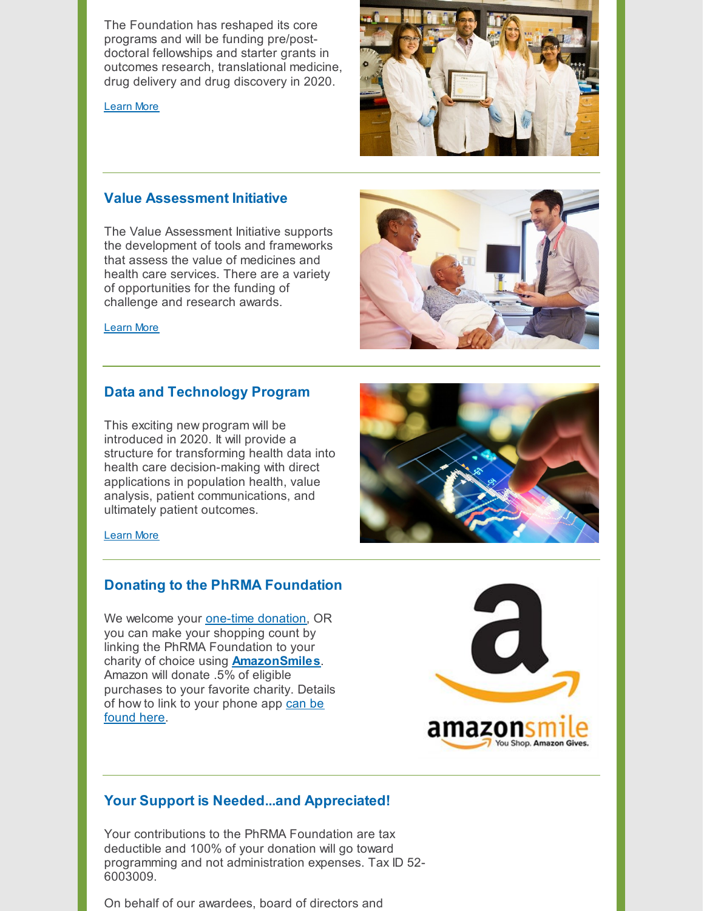The Foundation has reshaped its core programs and will be funding pre/postdoctoral fellowships and starter grants in outcomes research, translational medicine, drug delivery and drug discovery in 2020.

[Learn](http://www.phrmafoundation.org/wp-content/uploads/2019/10/FINAL-10.22.19-PF-Mission-Statement.pdf) More



## **Value Assessment Initiative**

The Value Assessment Initiative supports the development of tools and frameworks that assess the value of medicines and health care services. There are a variety of opportunities for the funding of challenge and research awards.



## **Data and Technology Program**

This exciting new program will be introduced in 2020. It will provide a structure for transforming health data into health care decision-making with direct applications in population health, value analysis, patient communications, and ultimately patient outcomes.



#### [Learn](http://www.phrmafoundation.org/new-program-the-use-and-application-of-data-and-technology-in-health-care/) More

### **Donating to the PhRMA Foundation**

We welcome your [one-time](http://www.phrmafoundation.org/make-a-contribution/) donation, OR you can make your shopping count by linking the PhRMA Foundation to your charity of choice using **[AmazonSmiles](https://smile.amazon.com/ap/signin?_encoding=UTF8&openid.assoc_handle=amzn_smile&openid.claimed_id=http%3A%2F%2Fspecs.openid.net%2Fauth%2F2.0%2Fidentifier_select&openid.identity=http%3A%2F%2Fspecs.openid.net%2Fauth%2F2.0%2Fidentifier_select&openid.mode=checkid_setup&openid.ns=http%3A%2F%2Fspecs.openid.net%2Fauth%2F2.0&openid.ns.pape=http%3A%2F%2Fspecs.openid.net%2Fextensions%2Fpape%2F1.0&openid.pape.max_auth_age=0&openid.return_to=https%3A%2F%2Fsmile.amazon.com%2Fgp%2Fcharity%2Fhomepage.html%3Fie%3DUTF8%26newts%3D1%26orig%3DLw%253D%253D)**. Amazon will donate .5% of eligible purchases to your favorite charity. Details of how to link to your [phone](http://www.phrmafoundation.org/wp-content/uploads/2019/11/AmazonSmileDirectionsforApp-1.pdf) app can be found here.



## **Your Support is Needed...and Appreciated!**

Your contributions to the PhRMA Foundation are tax deductible and 100% of your donation will go toward programming and not administration expenses. Tax ID 52- 6003009.

On behalf of our awardees, board of directors and